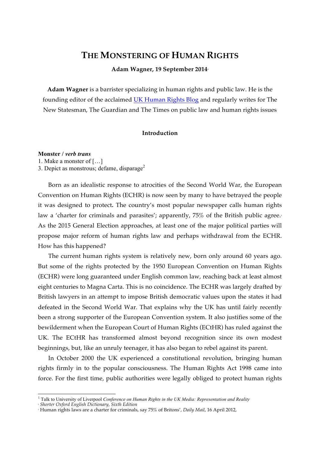# **THE MONSTERING OF HUMAN RIGHTS**

**Adam Wagner, 19 September 20141**

**Adam Wagner** is a barrister specializing in human rights and public law. He is the founding editor of the acclaimed UK Human Rights Blog and regularly writes for The New Statesman, The Guardian and The Times on public law and human rights issues

## **Introduction**

**Monster /** *verb trans*

1. Make a monster of […]

3. Depict as monstrous; defame, disparage<sup>2</sup>

Born as an idealistic response to atrocities of the Second World War, the European Convention on Human Rights (ECHR) is now seen by many to have betrayed the people it was designed to protect**.** The country's most popular newspaper calls human rights law a 'charter for criminals and parasites'; apparently, 75% of the British public agree.<sup>3</sup> As the 2015 General Election approaches, at least one of the major political parties will propose major reform of human rights law and perhaps withdrawal from the ECHR. How has this happened?

The current human rights system is relatively new, born only around 60 years ago. But some of the rights protected by the 1950 European Convention on Human Rights (ECHR) were long guaranteed under English common law, reaching back at least almost eight centuries to Magna Carta. This is no coincidence. The ECHR was largely drafted by British lawyers in an attempt to impose British democratic values upon the states it had defeated in the Second World War. That explains why the UK has until fairly recently been a strong supporter of the European Convention system. It also justifies some of the bewilderment when the European Court of Human Rights (ECtHR) has ruled against the UK. The ECtHR has transformed almost beyond recognition since its own modest beginnings, but, like an unruly teenager, it has also began to rebel against its parent.

In October 2000 the UK experienced a constitutional revolution, bringing human rights firmly in to the popular consciousness. The Human Rights Act 1998 came into force. For the first time, public authorities were legally obliged to protect human rights

<sup>&</sup>lt;sup>1</sup> Talk to University of Liverpool *Conference on Human Rights in the UK Media: Representation and Reality* 

<sup>2</sup> *Shorter Oxford English Dictionary, Sixth Edition*

<sup>3</sup> Human rights laws are a charter for criminals, say 75% of Britons', *Daily Mail*, 16 April 2012,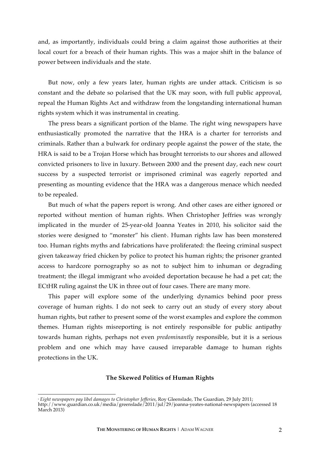and, as importantly, individuals could bring a claim against those authorities at their local court for a breach of their human rights. This was a major shift in the balance of power between individuals and the state.

But now, only a few years later, human rights are under attack. Criticism is so constant and the debate so polarised that the UK may soon, with full public approval, repeal the Human Rights Act and withdraw from the longstanding international human rights system which it was instrumental in creating.

The press bears a significant portion of the blame. The right wing newspapers have enthusiastically promoted the narrative that the HRA is a charter for terrorists and criminals. Rather than a bulwark for ordinary people against the power of the state, the HRA is said to be a Trojan Horse which has brought terrorists to our shores and allowed convicted prisoners to live in luxury. Between 2000 and the present day, each new court success by a suspected terrorist or imprisoned criminal was eagerly reported and presenting as mounting evidence that the HRA was a dangerous menace which needed to be repealed.

But much of what the papers report is wrong. And other cases are either ignored or reported without mention of human rights. When Christopher Jeffries was wrongly implicated in the murder of 25-year-old Joanna Yeates in 2010, his solicitor said the stories were designed to "monster" his client<sub>'</sub>. Human rights law has been monstered too. Human rights myths and fabrications have proliferated: the fleeing criminal suspect given takeaway fried chicken by police to protect his human rights; the prisoner granted access to hardcore pornography so as not to subject him to inhuman or degrading treatment; the illegal immigrant who avoided deportation because he had a pet cat; the ECtHR ruling against the UK in three out of four cases. There are many more.

This paper will explore some of the underlying dynamics behind poor press coverage of human rights. I do not seek to carry out an study of every story about human rights, but rather to present some of the worst examples and explore the common themes. Human rights misreporting is not entirely responsible for public antipathy towards human rights, perhaps not even *predominantly* responsible, but it is a serious problem and one which may have caused irreparable damage to human rights protections in the UK.

#### **The Skewed Politics of Human Rights**

 <sup>4</sup> *Eight newspapers pay libel damages to Christopher Jefferies*, Roy Gleenslade, The Guardian*,* 29 July 2011; http://www.guardian.co.uk/media/greenslade/2011/jul/29/joanna-yeates-national-newspapers (accessed 18 March 2013)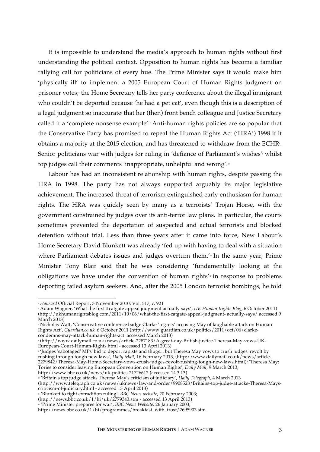It is impossible to understand the media's approach to human rights without first understanding the political context. Opposition to human rights has become a familiar rallying call for politicians of every hue. The Prime Minister says it would make him 'physically ill' to implement a 2005 European Court of Human Rights judgment on prisoner votes; the Home Secretary tells her party conference about the illegal immigrant who couldn't be deported because 'he had a pet cat', even though this is a description of a legal judgment so inaccurate that her (then) front bench colleague and Justice Secretary called it a 'complete nonsense example'.<sup>7</sup> Anti-human rights policies are so popular that the Conservative Party has promised to repeal the Human Rights Act ('HRA') 1998 if it obtains a majority at the 2015 election, and has threatened to withdraw from the ECHR $\cdot$ . Senior politicians war with judges for ruling in 'defiance of Parliament's wishes'<sup>,</sup> whilst top judges call their comments 'inappropriate, unhelpful and wrong'.<sup>10</sup>

Labour has had an inconsistent relationship with human rights, despite passing the HRA in 1998. The party has not always supported arguably its major legislative achievement. The increased threat of terrorism extinguished early enthusiasm for human rights. The HRA was quickly seen by many as a terrorists' Trojan Horse, with the government constrained by judges over its anti-terror law plans. In particular, the courts sometimes prevented the deportation of suspected and actual terrorists and blocked detention without trial. Less than three years after it came into force, New Labour's Home Secretary David Blunkett was already 'fed up with having to deal with a situation where Parliament debates issues and judges overturn them.'<sub>"</sub> In the same year, Prime Minister Tony Blair said that he was considering 'fundamentally looking at the obligations we have under the convention of human rights'<sup>2</sup> in response to problems deporting failed asylum seekers. And, after the 2005 London terrorist bombings, he told

 <sup>5</sup> *Hansard* Official Report, 3 November 2010; Vol. 517, c. 921

<sup>6</sup> Adam Wagner, 'What the first #catgate appeal judgment actually says', *UK Human Rights Blog*, 6 October 2011) (http://ukhumanrightsblog.com/2011/10/06/what-the-first-catgate-appeal-judgment- actually-says/ accessed 9 March 2013)

<sup>&</sup>lt;sup>7</sup> Nicholas Watt, 'Conservative conference badge Clarke 'regrets' accusing May of laughable attack on Human Rights Act', *Guardian.co.uk*, 6 October 2011 (http://www.guardian.co.uk/politics/2011/oct/06/clarkecondemns-may-attack-human-rights-act accessed March 2013)

<sup>8</sup> (http://www.dailymail.co.uk/news/article-2287183/A-great-day-British-justice-Theresa-May-vows-UK-European-Court-Human-Rights.html - accessed 13 April 2013)

<sup>9</sup> 'Judges 'sabotaged' MPs' bid to deport rapists and thugs... but Theresa May vows to crush judges' revolt by rushing through tough new laws'*, Daily Mail,* 16 February 2013, (http://www.dailymail.co.uk/news/article-2279842/Theresa-May-Home-Secretary-vows-crush-judges-revolt-rushing-tough-new-laws.html); 'Theresa May: Tories to consider leaving European Convention on Human Rights', *Daily Mail*, 9 March 2013, http://www.bbc.co.uk/news/uk-politics-21726612 (accessed 14.3.13)

<sup>10</sup> 'Britain's top judge attacks Theresa May's criticism of judiciary', *Daily Telegraph*, 4 March 2013

<sup>(</sup>http://www.telegraph.co.uk/news/uknews/law-and-order/9908528/Britains-top-judge-attacks-Theresa-Mayscriticism-of-judiciary.html - accessed 13 April 2013)

<sup>&</sup>lt;sup>11</sup> 'Blunkett to fight extradition ruling', BBC News website, 20 February 2003;

 $(\text{http://news.bbc.co.uk/1/hi/uk/2779343.stm - accessed 13 April 2013})$ 

<sup>12</sup> 'Prime Minister prepares for war', *BBC News Website,* 26 January 2003,

http://news.bbc.co.uk/1/hi/programmes/breakfast\_with\_frost/2695903.stm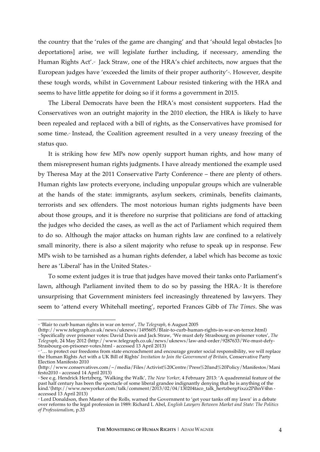the country that the 'rules of the game are changing' and that 'should legal obstacles [to deportations] arise, we will legislate further including, if necessary, amending the Human Rights Act'.<sup>3</sup> Jack Straw, one of the HRA's chief architects, now argues that the European judges have 'exceeded the limits of their proper authority'<sub>4</sub>. However, despite these tough words, whilst in Government Labour resisted tinkering with the HRA and seems to have little appetite for doing so if it forms a government in 2015.

The Liberal Democrats have been the HRA's most consistent supporters. Had the Conservatives won an outright majority in the 2010 election, the HRA is likely to have been repealed and replaced with a bill of rights, as the Conservatives have promised for some time.<sup>5</sup> Instead, the Coalition agreement resulted in a very uneasy freezing of the status quo.

It is striking how few MPs now openly support human rights, and how many of them misrepresent human rights judgments. I have already mentioned the example used by Theresa May at the 2011 Conservative Party Conference – there are plenty of others. Human rights law protects everyone, including unpopular groups which are vulnerable at the hands of the state: immigrants, asylum seekers, criminals, benefits claimants, terrorists and sex offenders. The most notorious human rights judgments have been about those groups, and it is therefore no surprise that politicians are fond of attacking the judges who decided the cases, as well as the act of Parliament which required them to do so. Although the major attacks on human rights law are confined to a relatively small minority, there is also a silent majority who refuse to speak up in response. Few MPs wish to be tarnished as a human rights defender, a label which has become as toxic here as 'Liberal' has in the United States.<sup>16</sup>

To some extent judges it is true that judges have moved their tanks onto Parliament's lawn, although Parliament invited them to do so by passing the HRA.<sup> $n$ </sup> It is therefore unsurprising that Government ministers feel increasingly threatened by lawyers. They seem to 'attend every Whitehall meeting', reported Frances Gibb of *The Times*. She was

<sup>&</sup>lt;sup>13</sup> 'Blair to curb human rights in war on terror', *The Telegraph*, 6 August 2005

<sup>(</sup>http://www.telegraph.co.uk/news/uknews/1495605/Blair-to-curb-human-rights-in-war-on-terror.html) <sup>14</sup> Specifically over prisoner votes: David Davis and Jack Straw, 'We must defy Strasbourg on prisoner votes', *The Telegraph,* 24 May 2012 (http://www.telegraph.co.uk/news/uknews/law-and-order/9287633/We-must-defy-Strasbourg-on-prisoner-votes.html - accessed 13 April 2013)

<sup>&</sup>lt;sup>15</sup> '... to protect our freedoms from state encroachment and encourage greater social responsibility, we will replace the Human Rights Act with a UK Bill of Rights' *Invitation to Join the Government of Britain,* Conservative Party Election Manifesto 2010

<sup>(</sup>http://www.conservatives.com/~/media/Files/Activist%20Centre/Press%20and%20Policy/Manifestos/Mani festo2010 - accessed 14 April 2013)

<sup>16</sup> See e.g. Hendrick Hertzberg, 'Walking the Walk'*, The New Yorker*, 4 February 2013: 'A quadrennial feature of the past half century has been the spectacle of some liberal grandee indignantly denying that he is anything of the kind.'(http://www.newyorker.com/talk/comment/2013/02/04/130204taco\_talk\_hertzberg#ixzz2PihnV4hn accessed 13 April 2013)

<sup>17</sup> Lord Donaldson, then Master of the Rolls, warned the Government to 'get your tanks off my lawn' in a debate over reforms to the legal profession in 1989: Richard L Abel, *English Lawyers Between Market and State: The Politics of Professionalism*, p.33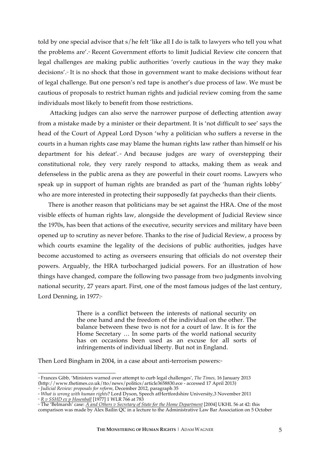told by one special advisor that s/he felt 'like all I do is talk to lawyers who tell you what the problems are'.<sup>®</sup> Recent Government efforts to limit Judicial Review cite concern that legal challenges are making public authorities 'overly cautious in the way they make decisions'.19 It is no shock that those in government want to make decisions without fear of legal challenge. But one person's red tape is another's due process of law. We must be cautious of proposals to restrict human rights and judicial review coming from the same individuals most likely to benefit from those restrictions.

Attacking judges can also serve the narrower purpose of deflecting attention away from a mistake made by a minister or their department. It is 'not difficult to see' says the head of the Court of Appeal Lord Dyson 'why a politician who suffers a reverse in the courts in a human rights case may blame the human rights law rather than himself or his department for his defeat'. And because judges are wary of overstepping their constitutional role, they very rarely respond to attacks, making them as weak and defenseless in the public arena as they are powerful in their court rooms. Lawyers who speak up in support of human rights are branded as part of the 'human rights lobby' who are more interested in protecting their supposedly fat paychecks than their clients.

There is another reason that politicians may be set against the HRA. One of the most visible effects of human rights law, alongside the development of Judicial Review since the 1970s, has been that actions of the executive, security services and military have been opened up to scrutiny as never before. Thanks to the rise of Judicial Review, a process by which courts examine the legality of the decisions of public authorities, judges have become accustomed to acting as overseers ensuring that officials do not overstep their powers. Arguably, the HRA turbocharged judicial powers. For an illustration of how things have changed, compare the following two passage from two judgments involving national security, 27 years apart. First, one of the most famous judges of the last century, Lord Denning, in  $1977:21$ 

> There is a conflict between the interests of national security on the one hand and the freedom of the individual on the other. The balance between these two is not for a court of law. It is for the Home Secretary … In some parts of the world national security has on occasions been used as an excuse for all sorts of infringements of individual liberty. But not in England.

Then Lord Bingham in 2004, in a case about anti-terrorism powers: $22$ 

<sup>21</sup> *R v SSHD ex p Hosenball* [1977] 1 WLR 766 at 783

 <sup>18</sup> Frances Gibb, 'Ministers warned over attempt to curb legal challenges', *The Times,* 16 January 2013 (http://www.thetimes.co.uk/tto/news/politics/article3658830.ece - accessed 17 April 2013)

<sup>19</sup> *Judicial Review: proposals for reform,* December 2012, paragraph 35

<sup>20</sup> *What is wrong with human rights*? Lord Dyson, Speech atHertfordshire University,3 November 2011

<sup>22</sup> The 'Belmarsh' case: *A and Others v Secretary of State for the Home Department* [2004] UKHL 56 at 42: this comparison was made by Alex Bailin QC in a lecture to the Administrative Law Bar Association on 5 October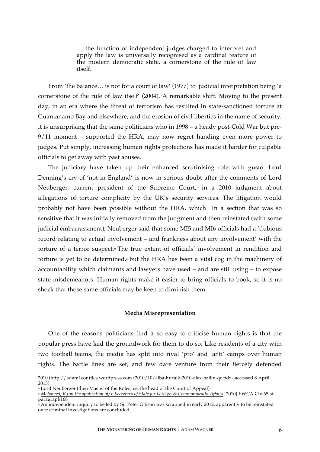… the function of independent judges charged to interpret and apply the law is universally recognised as a cardinal feature of the modern democratic state, a cornerstone of the rule of law itself.

From 'the balance… is not for a court of law' (1977) to judicial interpretation being 'a cornerstone of the rule of law itself' (2004). A remarkable shift. Moving to the present day, in an era where the threat of terrorism has resulted in state-sanctioned torture at Guantanamo Bay and elsewhere, and the erosion of civil liberties in the name of security, it is unsurprising that the same politicians who in 1998 – a heady post-Cold War but pre-9/11 moment – supported the HRA, may now regret handing even more power to judges. Put simply, increasing human rights protections has made it harder for culpable officials to get away with past abuses.

The judiciary have taken up their enhanced scrutinising role with gusto. Lord Denning's cry of 'not in England' is now in serious doubt after the comments of Lord Neuberger, current president of the Supreme Court,  $\alpha$  in a 2010 judgment about allegations of torture complicity by the UK's security services. The litigation would probably not have been possible without the HRA, which In a section that was so sensitive that it was initially removed from the judgment and then reinstated (with some judicial embarrassment), Neuberger said that some MI5 and MI6 officials had a 'dubious record relating to actual involvement – and frankness about any involvement' with the torture of a terror suspect.<sup>24</sup> The true extent of officials' involvement in rendition and torture is yet to be determined,<sup> $\delta$ </sup> but the HRA has been a vital cog in the machinery of accountability which claimants and lawyers have used – and are still using – to expose state misdemeanors. Human rights make it easier to bring officials to book, so it is no shock that those same officials may be keen to diminish them.

#### **Media Misrepresentation**

One of the reasons politicians find it so easy to criticise human rights is that the popular press have laid the groundwork for them to do so. Like residents of a city with two football teams, the media has split into rival 'pro' and 'anti' camps over human rights. The battle lines are set, and few dare venture from their fiercely defended

 <sup>2010 (</sup>http://adam1cor.files.wordpress.com/2010/10/alba-hr-talk-2010-alex-bailin-qc.pdf - accessed 8 April 2013)

<sup>&</sup>lt;sup>23</sup> Lord Neuberger (then Master of the Roles, i.e. the head of the Court of Appeal)

<sup>24</sup> *Mohamed, R (on the application of) v Secretary of State for Foreign & Commonwealth Affairs* [2010] EWCA Civ 65 at paragraph168

<sup>&</sup>lt;sup>2</sup> An independent inquiry to be led by Sir Peter Gibson was scrapped in early 2012, apparently to be reinstated once criminal investigations are concluded.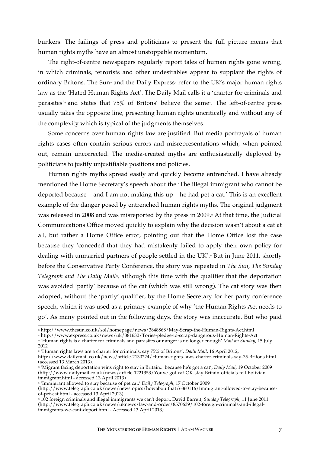bunkers. The failings of press and politicians to present the full picture means that human rights myths have an almost unstoppable momentum.

The right-of-centre newspapers regularly report tales of human rights gone wrong, in which criminals, terrorists and other undesirables appear to supplant the rights of ordinary Britons. The Sun<sup>®</sup> and the Daily Express<sup>®</sup> refer to the UK's major human rights law as the 'Hated Human Rights Act'. The Daily Mail calls it a 'charter for criminals and parasites'<sup>2</sup> and states that  $75\%$  of Britons' believe the same<sup>3</sup>. The left-of-centre press usually takes the opposite line, presenting human rights uncritically and without any of the complexity which is typical of the judgments themselves.

Some concerns over human rights law are justified. But media portrayals of human rights cases often contain serious errors and misrepresentations which, when pointed out, remain uncorrected. The media-created myths are enthusiastically deployed by politicians to justify unjustifiable positions and policies.

Human rights myths spread easily and quickly become entrenched. I have already mentioned the Home Secretary's speech about the 'The illegal immigrant who cannot be deported because – and I am not making this up – he had pet a cat.' This is an excellent example of the danger posed by entrenched human rights myths. The original judgment was released in 2008 and was misreported by the press in 2009.<sup>30</sup> At that time, the Judicial Communications Office moved quickly to explain why the decision wasn't about a cat at all, but rather a Home Office error, pointing out that the Home Office lost the case because they 'conceded that they had mistakenly failed to apply their own policy for dealing with unmarried partners of people settled in the UK'.<sup>31</sup> But in June 2011, shortly before the Conservative Party Conference, the story was repeated in *The Sun*, *The Sunday Telegraph and The Daily Mail<sub>2</sub>*, although this time with the qualifier that the deportation was avoided 'partly' because of the cat (which was still wrong). The cat story was then adopted, without the 'partly' qualifier, by the Home Secretary for her party conference speech, which it was used as a primary example of why 'the Human Rights Act needs to go*'*. As many pointed out in the following days, the story was inaccurate. But who paid

 <sup>26</sup> http://www.thesun.co.uk/sol/homepage/news/3848868/May-Scrap-the-Human-Rights-Act.html

<sup>&</sup>lt;sup>2</sup> Human rights is a charter for criminals and parasites our anger is no longer enough' *Mail on Sunday*, 15 July 2012

<sup>29</sup> 'Human rights laws are a charter for criminals, say 75% of Britons', *Daily Mail*, 16 April 2012,

http://www.dailymail.co.uk/news/article-2130224/Human-rights-laws-charter-criminals-say-75-Britons.html (accessed 13 March 2013).

<sup>&</sup>lt;sup>3</sup> 'Migrant facing deportation wins right to stay in Britain... because he's got a cat', *Daily Mail*, 19 October 2009 (http://www.dailymail.co.uk/news/article-1221353/Youve-got-cat-OK-stay-Britain-officials-tell-Bolivianimmigrant.html - accessed 13 April 2013)

<sup>&</sup>lt;sup>31</sup> 'Immigrant allowed to stay because of pet cat,' *Daily Telegraph,* 17 October 2009

<sup>(</sup>http://www.telegraph.co.uk/news/newstopics/howaboutthat/6360116/Immigrant-allowed-to-stay-becauseof-pet-cat.html - accessed 13 April 2013)

<sup>32</sup> 102 foreign criminals and illegal immigrants we can't deport, David Barrett, *Sunday Telegraph*, 11 June 2011 (http://www.telegraph.co.uk/news/uknews/law-and-order/8570639/102-foreign-criminals-and-illegalimmigrants-we-cant-deport.html - Accessed 13 April 2013)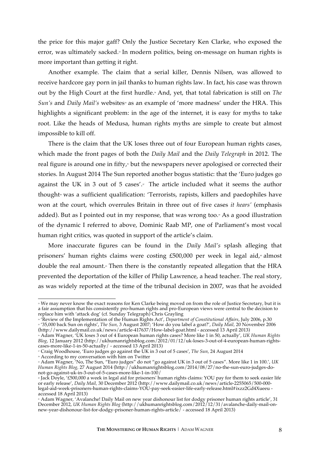the price for this major gaff? Only the Justice Secretary Ken Clarke, who exposed the error, was ultimately sacked.<sup>33</sup> In modern politics, being on-message on human rights is more important than getting it right.

Another example. The claim that a serial killer, Dennis Nilsen, was allowed to receive hardcore gay porn in jail thanks to human rights law. In fact, his case was thrown out by the High Court at the first hurdle.<sup>34</sup> And, yet, that total fabrication is still on *The Sun's* and *Daily Mail's* websites<sup>\*</sup> as an example of 'more madness' under the HRA. This highlights a significant problem: in the age of the internet, it is easy for myths to take root. Like the heads of Medusa, human rights myths are simple to create but almost impossible to kill off.

There is the claim that the UK loses three out of four European human rights cases, which made the front pages of both the *Daily Mail* and the *Daily Telegraph* in 2012. The real figure is around one in fifty,<sup>\*</sup> but the newspapers never apologised or corrected their stories. In August 2014 The Sun reported another bogus statistic: that the 'Euro judges go against the UK in 3 out of 5 cases'. $\bar{z}$  The article included what it seems the author thought<sup>\*</sup> was a sufficient qualification: 'Terrorists, rapists, killers and paedophiles have won at the court, which overrules Britain in three out of five cases *it hears'* (emphasis added). But as I pointed out in my response, that was wrong too.<sup>3</sup> As a good illustration of the dynamic I referred to above, Dominic Raab MP, one of Parliament's most vocal human right critics, was quoted in support of the article's claim.

More inaccurate figures can be found in the *Daily Mail's* splash alleging that prisoners' human rights claims were costing  $£500,000$  per week in legal aid, $*$  almost double the real amount.<sup>4</sup> Then there is the constantly repeated allegation that the HRA prevented the deportation of the killer of Philip Lawrence, a head teacher. The real story, as was widely reported at the time of the tribunal decision in 2007, was that he avoided

\* According to my conversation with him on Twitter

<sup>&</sup>lt;sup>33</sup> We may never know the exact reasons for Ken Clarke being moved on from the role of Justice Secretary, but it is a fair assumption that his consistently pro-human rights and pro-European views were central to the decision to replace him with 'attack dog' (cf. Sunday Telegraph) Chris Grayling

<sup>34</sup> 'Review of the Implementation of the Human Rights Act', *Department of Constitutional Affairs*, July 2006, p.30 <sup>35</sup> '35,000 back Sun on rights', *The Sun,* 3 August 2007; 'How do you label a goat?', *Daily Mail,* 20 November 2006 (http://www.dailymail.co.uk/news/article-417637/How-label-goat.html - accessed 13 April 2013)

<sup>36</sup> Adam Wagner, 'UK loses 3 out of 4 European human rights cases? More like 1 in 50, actually', *UK Human Rights Blog,* 12 January 2012 (http://ukhumanrightsblog.com/2012/01/12/uk-loses-3-out-of-4-european-human-rightscases-more-like-1-in-50-actually/ - accessed 13 April 2013)

<sup>37</sup> Craig Woodhouse, 'Euro judges go against the UK in 3 out of 5 cases', *The Sun,* 24 August 2014

<sup>39</sup> Adam Wagner, 'No, The Sun, "Euro judges" do not "go against UK in 3 out of 5 cases". More like 1 in 100.', *UK Human Rights Blog,* 27 August 2014 (http://ukhumanrightsblog.com/2014/08/27/no-the-sun-euro-judges-donot-go-against-uk-in-3-out-of-5-cases-more-like-1-in-100/

<sup>40</sup> Jack Doyle, '£500,000 a week in legal aid for prisoners' human rights claims: YOU pay for them to seek easier life or early release', *Daily Mail,* 30 December 2012 (http://www.dailymail.co.uk/news/article-2255065/500-000 legal-aid-week-prisoners-human-rights-claims-YOU-pay-seek-easier-life-early-release.html#ixzz2Gd4Xueeu accessed 18 April 2013)

<sup>41</sup> Adam Wagner, 'Avalanche! Daily Mail on new year dishonour list for dodgy prisoner human rights article', 31 December 2012, *UK Human Rights Blog* (http://ukhumanrightsblog.com/2012/12/31/avalanche-daily-mail-onnew-year-dishonour-list-for-dodgy-prisoner-human-rights-article/ - accessed 18 April 2013)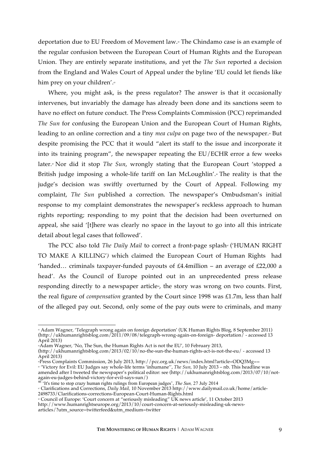deportation due to EU Freedom of Movement law.42 The Chindamo case is an example of the regular confusion between the European Court of Human Rights and the European Union. They are entirely separate institutions, and yet the *The Sun* reported a decision from the England and Wales Court of Appeal under the byline 'EU could let fiends like him prey on your children'.<sup>63</sup>

Where, you might ask, is the press regulator? The answer is that it occasionally intervenes, but invariably the damage has already been done and its sanctions seem to have no effect on future conduct. The Press Complaints Commission (PCC) reprimanded *The Sun* for confusing the European Union and the European Court of Human Rights, leading to an online correction and a tiny *mea culpa* on page two of the newspaper.<sup>44</sup> But despite promising the PCC that it would "alert its staff to the issue and incorporate it into its training program", the newspaper repeating the EU/ECHR error a few weeks later.<sup>6</sup> Nor did it stop *The Sun*, wrongly stating that the European Court 'stopped a British judge imposing a whole-life tariff on Ian McLoughlin'.<sup>4</sup> The reality is that the judge's decision was swiftly overturned by the Court of Appeal. Following my complaint, *The Sun* published a correction. The newspaper's Ombudsman's initial response to my complaint demonstrates the newspaper's reckless approach to human rights reporting; responding to my point that the decision had been overturned on appeal, she said '[t]here was clearly no space in the layout to go into all this intricate detail about legal cases that followed'.

The PCC also told *The Daily Mail* to correct a front-page splash<sup>*v*</sup> ('HUMAN RIGHT TO MAKE A KILLING'*)* which claimed the European Court of Human Rights had 'handed... criminals taxpayer-funded payouts of  $E4.4$ million – an average of  $E22,000$  a head'. As the Council of Europe pointed out in an unprecedented press release responding directly to a newspaper article<sup>\*</sup>, the story was wrong on two counts. First, the real figure of *compensation* granted by the Court since 1998 was £1.7m, less than half of the alleged pay out. Second, only some of the pay outs were to criminals, and many

<sup>&</sup>lt;sub>e</sub><br>Adam Wagner, 'Telegraph wrong again on foreign deportation' (UK Human Rights Blog, 8 September 2011) » (http://ukhumanrightsblog.com/2011/09/08/telegraph-wrong-again-on-foreign- deportation/ - accessed 13 April 2013)

<sup>&</sup>lt;sup>4</sup>Adam Wagner, 'No, The Sun, the Human Rights Act is not the EU', 10 February 2013,

<sup>(</sup>http://ukhumanrightsblog.com/2013/02/10/no-the-sun-the-human-rights-act-is-not-the-eu/ - accessed 13 April 2013)

<sup>44</sup>Press Complaints Commission, 26 July 2013, http://pcc.org.uk/news/index.html?article=ODQ3Mg==

<sup>45</sup> 'Victory for Evil: EU Judges say whole-life terms 'inhumane'', *The Sun,* 10 July 2013 – nb. This headline was amended after I tweeted the newspaper's political editor: see (http://ukhumanrightsblog.com/2013/07/10/notagain-eu-judges-behind-victory-for-evil-says-sun/) <sup>46</sup> 'It's time to stop crazy human rights rulings from European judges', *The Sun,* 27 July 2014

<sup>47</sup> Clarifications and Corrections, *Daily Mail,* 10 November 2013 http://www.dailymail.co.uk/home/article-2498733/Clarifications-corrections-European-Court-Human-Rights.html

<sup>48</sup> Council of Europe: 'Court concern at "seriously misleading" UK news article', 11 October 2013 http://www.humanrightseurope.org/2013/10/court-concern-at-seriously-misleading-uk-newsarticles/?utm\_source=twitterfeed&utm\_medium=twitter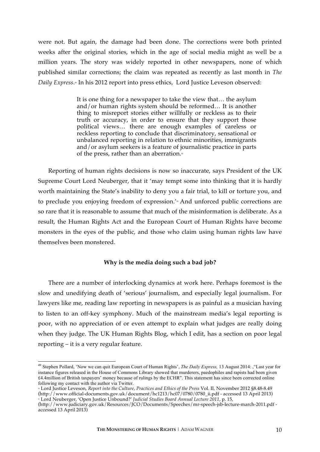were not. But again, the damage had been done. The corrections were both printed weeks after the original stories, which in the age of social media might as well be a million years. The story was widely reported in other newspapers, none of which published similar corrections; the claim was repeated as recently as last month in *The Daily Express*.<sup>8</sup> In his 2012 report into press ethics, Lord Justice Leveson observed:

> It is one thing for a newspaper to take the view that… the asylum and/or human rights system should be reformed… It is another thing to misreport stories either willfully or reckless as to their truth or accuracy, in order to ensure that they support those political views… there are enough examples of careless or reckless reporting to conclude that discriminatory, sensational or unbalanced reporting in relation to ethnic minorities, immigrants and/or asylum seekers is a feature of journalistic practice in parts of the press, rather than an aberration. $\sqrt[3]{\ }$

Reporting of human rights decisions is now so inaccurate, says President of the UK Supreme Court Lord Neuberger, that it 'may tempt some into thinking that it is hardly worth maintaining the State's inability to deny you a fair trial, to kill or torture you, and to preclude you enjoying freedom of expression.'<sup>51</sup> And unforced public corrections are so rare that it is reasonable to assume that much of the misinformation is deliberate. As a result, the Human Rights Act and the European Court of Human Rights have become monsters in the eyes of the public, and those who claim using human rights law have themselves been monstered.

# **Why is the media doing such a bad job?**

There are a number of interlocking dynamics at work here. Perhaps foremost is the slow and unedifying death of 'serious' journalism, and especially legal journalism. For lawyers like me, reading law reporting in newspapers is as painful as a musician having to listen to an off-key symphony. Much of the mainstream media's legal reporting is poor, with no appreciation of or even attempt to explain what judges are really doing when they judge. The UK Human Rights Blog, which I edit, has a section on poor legal reporting – it is a very regular feature.

<sup>49</sup> Stephen Pollard, 'Now we can quit European Court of Human Rights', *The Daily Express,* 13 August 2014: ,"Last year for instance figures released in the House of Commons Library showed that murderers, paedophiles and rapists had been given £4.4million of British taxpayers' money because of rulings by the ECHR". This statement has since been corrected online following my contact with the author via Twitter.

<sup>50</sup> Lord Justice Leveson, *Report into the Culture, Practices and Ethics of the Press* Vol. II*,* November 2012 §8.48-8.49 (http://www.official-documents.gov.uk/document/hc1213/hc07/0780/0780\_ii.pdf - accessed 13 April 2013) <sup>51</sup> Lord Neuberger, 'Open Justice Unbound?' *Judicial Studies Board Annual Lecture 2011*, p. 15,

<sup>(</sup>http://www.judiciary.gov.uk/Resources/JCO/Documents/Speeches/mr-speech-jsb-lecture-march-2011.pdf accessed 13 April 2013)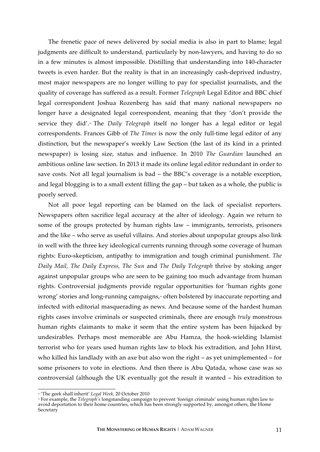The frenetic pace of news delivered by social media is also in part to blame; legal judgments are difficult to understand, particularly by non-lawyers, and having to do so in a few minutes is almost impossible. Distilling that understanding into 140-character tweets is even harder. But the reality is that in an increasingly cash-deprived industry, most major newspapers are no longer willing to pay for specialist journalists, and the quality of coverage has suffered as a result. Former *Telegraph* Legal Editor and BBC chief legal correspondent Joshua Rozenberg has said that many national newspapers no longer have a designated legal correspondent, meaning that they 'don't provide the service they did'.<sup>®</sup> The *Daily Telegraph* itself no longer has a legal editor or legal correspondents. Frances Gibb of *The Times* is now the only full-time legal editor of any distinction, but the newspaper's weekly Law Section (the last of its kind in a printed newspaper) is losing size, status and influence. In 2010 *The Guardian* launched an ambitious online law section. In 2013 it made its online legal editor redundant in order to save costs. Not all legal journalism is bad – the BBC's coverage is a notable exception, and legal blogging is to a small extent filling the gap – but taken as a whole, the public is poorly served.

Not all poor legal reporting can be blamed on the lack of specialist reporters. Newspapers often sacrifice legal accuracy at the alter of ideology. Again we return to some of the groups protected by human rights law – immigrants, terrorists, prisoners and the like – who serve as useful villains. And stories about unpopular groups also link in well with the three key ideological currents running through some coverage of human rights: Euro-skepticism, antipathy to immigration and tough criminal punishment. *The Daily Mail, The Daily Express, The Sun* and *The Daily Telegraph* thrive by stoking anger against unpopular groups who are seen to be gaining too much advantage from human rights. Controversial judgments provide regular opportunities for 'human rights gone wrong' stories and long-running campaigns,<sup>53</sup> often bolstered by inaccurate reporting and infected with editorial masquerading as news. And because some of the hardest human rights cases involve criminals or suspected criminals, there are enough *truly* monstrous human rights claimants to make it seem that the entire system has been hijacked by undesirables. Perhaps most memorable are Abu Hamza, the hook-wielding Islamist terrorist who for years used human rights law to block his extradition, and John Hirst, who killed his landlady with an axe but also won the right – as yet unimplemented – for some prisoners to vote in elections. And then there is Abu Qatada, whose case was so controversial (although the UK eventually got the result it wanted – his extradition to

 <sup>52</sup> 'The geek shall inherit' *Legal Week,* 20 October 2010

<sup>53</sup> For example, the *Telegraph's* longstanding campaign to prevent 'foreign criminals' using human rights law to avoid deportation to their home countries, which has been strongly supported by, amongst others, the Home **Secretary**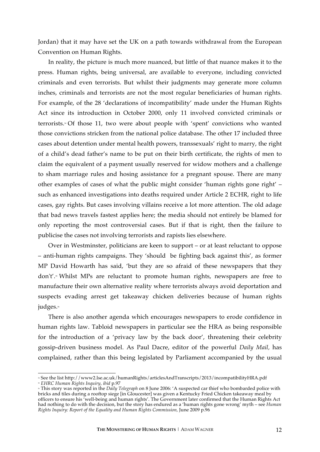Jordan) that it may have set the UK on a path towards withdrawal from the European Convention on Human Rights.

In reality, the picture is much more nuanced, but little of that nuance makes it to the press. Human rights, being universal, are available to everyone, including convicted criminals and even terrorists. But whilst their judgments may generate more column inches, criminals and terrorists are not the most regular beneficiaries of human rights. For example, of the 28 'declarations of incompatibility' made under the Human Rights Act since its introduction in October 2000, only 11 involved convicted criminals or terrorists.<sup>84</sup> Of those 11, two were about people with 'spent' convictions who wanted those convictions stricken from the national police database. The other 17 included three cases about detention under mental health powers, transsexuals' right to marry, the right of a child's dead father's name to be put on their birth certificate, the rights of men to claim the equivalent of a payment usually reserved for widow mothers and a challenge to sham marriage rules and hosing assistance for a pregnant spouse. There are many other examples of cases of what the public might consider 'human rights gone right' – such as enhanced investigations into deaths required under Article 2 ECHR, right to life cases, gay rights. But cases involving villains receive a lot more attention. The old adage that bad news travels fastest applies here; the media should not entirely be blamed for only reporting the most controversial cases. But if that is right, then the failure to publicise the cases not involving terrorists and rapists lies elsewhere.

Over in Westminster, politicians are keen to support – or at least reluctant to oppose – anti-human rights campaigns. They 'should be fighting back against this', as former MP David Howarth has said, 'but they are so afraid of these newspapers that they don't'.55 Whilst MPs are reluctant to promote human rights, newspapers are free to manufacture their own alternative reality where terrorists always avoid deportation and suspects evading arrest get takeaway chicken deliveries because of human rights judges.<sup>®</sup>

There is also another agenda which encourages newspapers to erode confidence in human rights law. Tabloid newspapers in particular see the HRA as being responsible for the introduction of a 'privacy law by the back door', threatening their celebrity gossip-driven business model. As Paul Dacre, editor of the powerful *Daily Mail,* has complained, rather than this being legislated by Parliament accompanied by the usual

 <sup>54</sup> See the list http://www2.lse.ac.uk/humanRights/articlesAndTranscripts/2013/incompatibilityHRA.pdf <sup>55</sup> *EHRC Human Rights Inquiry*, *ibid* p.97

<sup>56</sup> This story was reported in the *Daily Telegraph* on 8 June 2006: 'A suspected car thief who bombarded police with bricks and tiles during a rooftop siege [in Gloucester] was given a Kentucky Fried Chicken takeaway meal by officers to ensure his 'well-being and human rights'. The Government later confirmed that the Human Rights Act had nothing to do with the decision, but the story has endured as a 'human rights gone wrong' myth – see *Human Rights Inquiry: Report of the Equality and Human Rights Commission,* June 2009 p.96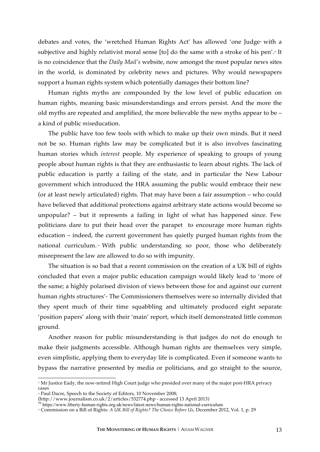debates and votes, the 'wretched Human Rights Act' has allowed 'one Judge $\overline{v}$  with a subjective and highly relativist moral sense [to] do the same with a stroke of his pen'.<sup>36</sup> It is no coincidence that the *Daily Mail's* website, now amongst the most popular news sites in the world, is dominated by celebrity news and pictures. Why would newspapers support a human rights system which potentially damages their bottom line?

Human rights myths are compounded by the low level of public education on human rights, meaning basic misunderstandings and errors persist. And the more the old myths are repeated and amplified, the more believable the new myths appear to be – a kind of public *mis*education.

The public have too few tools with which to make up their own minds. But it need not be so. Human rights law may be complicated but it is also involves fascinating human stories which *interest* people. My experience of speaking to groups of young people about human rights is that they are enthusiastic to learn about rights. The lack of public education is partly a failing of the state, and in particular the New Labour government which introduced the HRA assuming the public would embrace their new (or at least newly articulated) rights. That may have been a fair assumption – who could have believed that additional protections against arbitrary state actions would become so unpopular? – but it represents a failing in light of what has happened since. Few politicians dare to put their head over the parapet to encourage more human rights education – indeed, the current government has quietly purged human rights from the national curriculum.<sup>39</sup> With public understanding so poor, those who deliberately misrepresent the law are allowed to do so with impunity.

The situation is so bad that a recent commission on the creation of a UK bill of rights concluded that even a major public education campaign would likely lead to 'more of the same; a highly polarised division of views between those for and against our current human rights structures'<sup>®</sup> The Commissioners themselves were so internally divided that they spent much of their time squabbling and ultimately produced eight separate 'position papers' along with their 'main' report, which itself demonstrated little common ground.

Another reason for public misunderstanding is that judges do not do enough to make their judgments accessible. Although human rights are themselves very simple, even simplistic, applying them to everyday life is complicated. Even if someone wants to bypass the narrative presented by media or politicians, and go straight to the source,

 <sup>57</sup> Mr Justice Eady, the now-retired High Court judge who presided over many of the major post-HRA privacy cases

<sup>&</sup>lt;sup>#</sup> Paul Dacre, Speech to the Society of Editors, 10 November 2008;<br>(http://www.journalism.co.uk/2/articles/532774.php - accessed 13 April 2013)

<sup>&</sup>lt;sup>59</sup> https://www.liberty-human-rights.org.uk/news/latest-news/human-rights-national-curriculum

<sup>60</sup> Commission on a Bill of Rights: *A UK Bill of Rights? The Choice Before Us,* December 2012, Vol. 1, p. 29